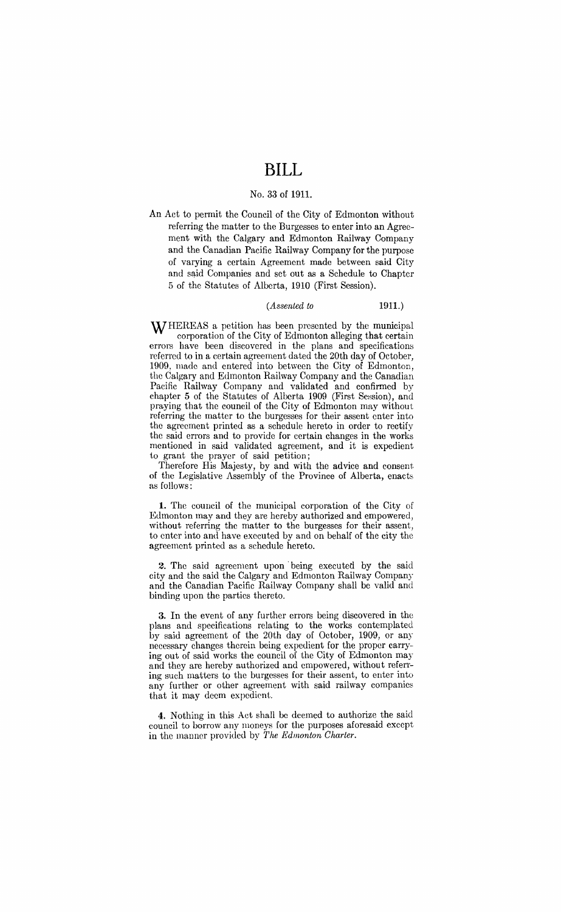# **BILL**

#### No. 33 of **1911.**

An Act to permit the Council of the City of Edmonton without referring the matter to the Burgesses to enter into an Agreement with the Calgary and Edmonton Railway Company and the Canadian Pacific Railway Company for the purpose of varying a certain Agreement made between said City and said Companies and set out as a Schedule to Chapter 5 of the Statutes of Alberta, 1910 (First Session).

### *(Assented to* **1911.)**

WHEREAS a petition has been presented by the municipal corporation of the City of Edmonton alleging that certain errors have been discovered in the plans and specifications referred to in a certain agreement dated the 20th day of October, 1909, made and entered into between the City of Edmonton, the Calgary and Edmonton Railway Company and the Canadian Pacific Railway Company and validated and confirmed by chapter 5 of the Statutes of Alberta 1909 (First Session), and praying that the council of the City of Edmonton may without referring the matter to the burgesses for their assent enter into the agreement printed as a schedule hereto in order to rectify the said errors and to provide for certain changes in the works mentioned in said validated agreement, and it is expedient to grant the prayer of said petition;

Therefore His Majesty, by and with the advice and consent of the Legislative Assembly of the Province of Alberta, enacts as follows:

**1.** The council of the municipal corporation of the City of Edmonton may and they are hereby authorized and empowered, without referring the matter to the burgesses for their assent, to enter into and have executed by and on behalf of the city the agreement printed as a schedule hereto.

**2.** The said agreement upon· being executed by the said city and the said the Calgary and Edmonton Railway Company and the Canadian Pacific Railway Company shall be valid and binding upon the parties thereto.

**3.** In the event of any further errors being discovered in the plans and specifications relating to the works contemplated by said agreement of the 20th day of October, 1909, or any necessary changes therein being expedient for the proper carrying out of said works the council of the City of Edmonton may and they are hereby authorized and empowered, without referring such matters to the burgesses for their assent, to enter into any further or other agreement with said railway companies that it may deem expedient.

**4.** Nothing in this Act shall be deemed to authorize the said council to borrow any moneys for the purposes aforesaid except in the manner provided by *The Edmonton Charter.*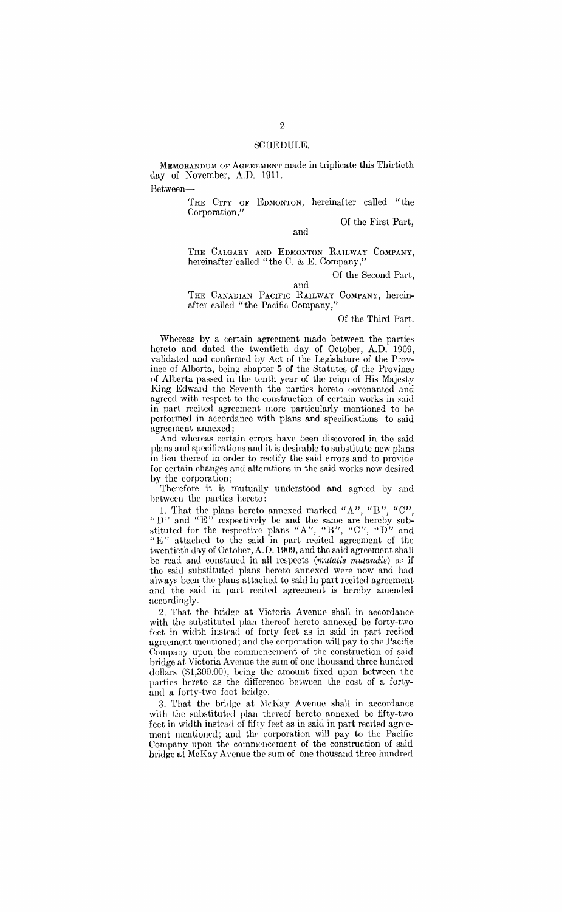MEMORANDUM OF AGREEMENT made in triplicate this Thirtieth day of November, A.D. 1911.

Between-

THE CITY OF EDMONTON, hereinafter called "the Corporation,'

Of the First Part,

and

THE CALGARY AND EDMONTON RAILWAY COMPANY, hereinafter called "the C. & E. Company,"

Of the Second Part,

and THE CANADIAN PACIFIC RAILWAY CoMPANY, hereinafter called "the Pacific Company,"

Of the Third Part.

Whereas by a certain agreement made between the parties hereto and dated the twentieth day of October, A.D. 1909, validated and confirmed by Act of the Legislature of the Province of Alberta, being chapter 5 of the Statutes of the Province of Alberta passed in the tenth year of the reign of His Majesty King Edward the Seventh the parties hereto covenanted and agreed with respect to the construction of certain works in said in part recited agreement more particularly mentioned to be performed in accordance with plans and specifications to said agreement annexed;

And whereas certain errors have been discovered in the said plans and specifications and it is desirable to substitute new plans in lieu thereof in order to rectify the said errors and to provide for certain changes and alterations in the said works now desired by the corporation;

Therefore it is mutually understood and agreed by and between the parties hereto:

1. That the plans hereto annexed marked "A", "B", "C", "D" and " $E$ " respectively be and the same are hereby substituted for the respective plans "A", "B", "C", "D" and "E" attached to the said in part recited agreement of the twentieth day of October, A.D. 1909, and the said agreement shall be read and construed in all respects *(mutatis mutandis)* as if the said substituted plans hereto annexed were now and had always been the plans attached to said in part recited agreement and the said in part recited agreement is hereby amended accordingly.

2. That the bridge at Victoria Avenue shall in accordance with the substituted plan thereof hereto annexed be forty-two feet in width instead of forty feet as in said in part recited agreement mentioned; and the corporation will pay to the Pacific Company upon the commencement of the construction of said bridge at Victoria Avenue the sum of one thousand three hundred dollars (\$l,300.00), being the amount fixed upon between the parties hereto as the difference between the cost of a fortyand a forty-two foot bridge.

3. That the bridge at McKay Avenue shall in accordance with the substituted plan thereof hereto annexed be fifty-two feet in width instead of fifty feet as in said in part recited agreement mentioned; and the corporation will pay to the Pacific Company upon the commencement of the construction of said bridge at McKay Avenue the sum of one thousand three hundred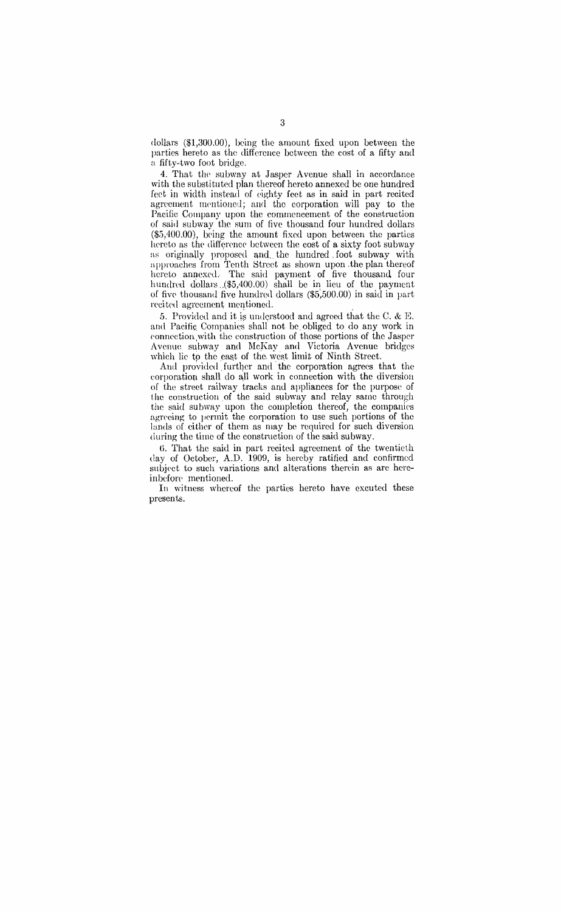dollars (\$1,300.00), being the amount fixed upon between the parties hereto as the difference between the cost of a fifty and a fifty-two foot bridge.

4. That the subway at Jasper Avenue shall in accordance with the substituted plan thereof hereto annexed be one hundred feet in width instead of eighty feet as in said in part recited agreement mentioned; and the corporation will pay to the Pacific Company upon the commencement of the construction of said subwav the sum of five thousand four hundred dollars  $(\$5,400.00)$ , being the amount fixed upon between the parties hereto as the difference between the  $\cos t$  of a sixty foot subway as originally proposed and the hundred foot subway with approaches from Tenth Street as shown upon .the plan thereof hereto annexed. The said payment of five thousand, four hundred dollars ./\$5,400.00) shall be **in** lieu of the payment of five thousand five hundred dollars  $(\$5,500.00)$  in said in part recited agreement mentioned.

5. Provided and it)t> understood and agreed that the C. & K and Pacific Companies shall not be obliged to do any work in connection with the construction of those portions of the Jasper Avenue subway and McKay and Victoria Avenue bridges which lie to the east of the west limit of Ninth Street.

And provided further and the corporation agrees that the corporation shall do all work in connection with the diversion of the street railway tracks and appliances for the purpose of the construction of the said subway and relay same through the said subway upon the completion thereof, the companies agreeing to permit the corporation to use such portions of the lands of either of them as may be required for such diversion during the time of the construction of the said subway.

G. That the said **in** part recited agreement of the twentieth day of October, A.D. 1909, is hereby ratified and confirmed subject to such variations and alterations therein as are hereinbefore mentioned.

In witness whereof the parties hereto have excuted these presents.